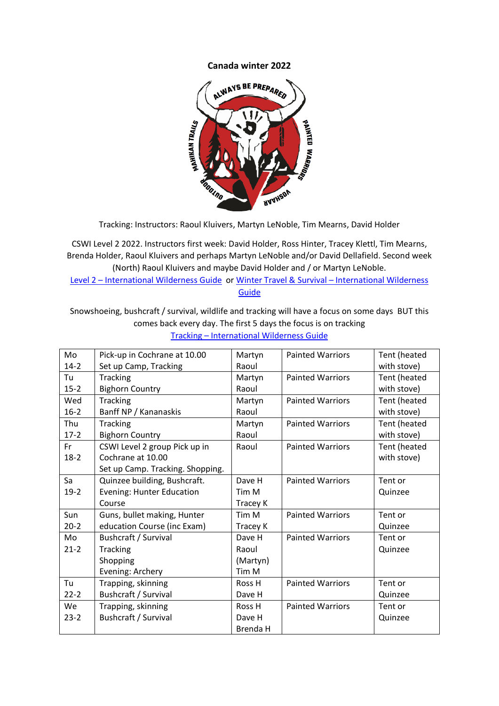## **Canada winter 2022**



Tracking: Instructors: Raoul Kluivers, Martyn LeNoble, Tim Mearns, David Holder

CSWI Level 2 2022. Instructors first week: David Holder, Ross Hinter, Tracey Klettl, Tim Mearns, Brenda Holder, Raoul Kluivers and perhaps Martyn LeNoble and/or David Dellafield. Second week (North) Raoul Kluivers and maybe David Holder and / or Martyn LeNoble. Level 2 – [International Wilderness Guide](https://internationalwildernessguide.com/cswi-level-2/) or [Winter Travel & Survival –](https://internationalwildernessguide.com/winter-travel-survival/) International Wilderness

[Guide](https://internationalwildernessguide.com/winter-travel-survival/)

Snowshoeing, bushcraft / survival, wildlife and tracking will have a focus on some days BUT this comes back every day. The first 5 days the focus is on tracking Tracking – [International Wilderness Guide](https://internationalwildernessguide.com/tracking/)

| Mo       | Pick-up in Cochrane at 10.00     | Martyn   | <b>Painted Warriors</b> | Tent (heated |
|----------|----------------------------------|----------|-------------------------|--------------|
| $14-2$   | Set up Camp, Tracking            | Raoul    |                         | with stove)  |
| Tu       | <b>Tracking</b>                  | Martyn   | <b>Painted Warriors</b> | Tent (heated |
| $15 - 2$ | <b>Bighorn Country</b>           | Raoul    |                         | with stove)  |
| Wed      | <b>Tracking</b>                  | Martyn   | <b>Painted Warriors</b> | Tent (heated |
| $16-2$   | Banff NP / Kananaskis            | Raoul    |                         | with stove)  |
| Thu      | <b>Tracking</b>                  | Martyn   | <b>Painted Warriors</b> | Tent (heated |
| $17-2$   | <b>Bighorn Country</b>           | Raoul    |                         | with stove)  |
| Fr       | CSWI Level 2 group Pick up in    | Raoul    | <b>Painted Warriors</b> | Tent (heated |
| $18-2$   | Cochrane at 10.00                |          |                         | with stove)  |
|          | Set up Camp. Tracking. Shopping. |          |                         |              |
| Sa       | Quinzee building, Bushcraft.     | Dave H   | <b>Painted Warriors</b> | Tent or      |
| $19-2$   | <b>Evening: Hunter Education</b> | Tim M    |                         | Quinzee      |
|          | Course                           | Tracey K |                         |              |
| Sun      | Guns, bullet making, Hunter      | Tim M    | <b>Painted Warriors</b> | Tent or      |
| $20-2$   | education Course (inc Exam)      | Tracey K |                         | Quinzee      |
| Mo       | Bushcraft / Survival             | Dave H   | <b>Painted Warriors</b> | Tent or      |
| $21-2$   | <b>Tracking</b>                  | Raoul    |                         | Quinzee      |
|          | Shopping                         | (Martyn) |                         |              |
|          | Evening: Archery                 | Tim M    |                         |              |
| Tu       | Trapping, skinning               | Ross H   | <b>Painted Warriors</b> | Tent or      |
| $22 - 2$ | Bushcraft / Survival             | Dave H   |                         | Quinzee      |
| We       | Trapping, skinning               | Ross H   | <b>Painted Warriors</b> | Tent or      |
| $23 - 2$ | Bushcraft / Survival             | Dave H   |                         | Quinzee      |
|          |                                  | Brenda H |                         |              |